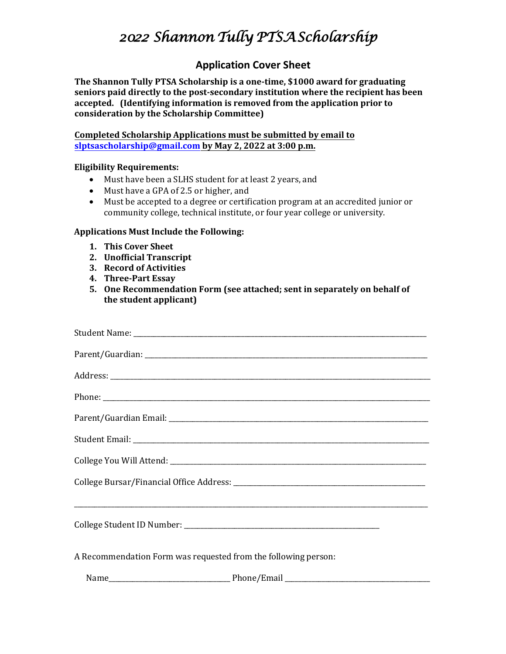# *2022 Shannon Tully PTSA Scholarship*

## **Application Cover Sheet**

**The Shannon Tully PTSA Scholarship is a one-time, \$1000 award for graduating seniors paid directly to the post-secondary institution where the recipient has been accepted. (Identifying information is removed from the application prior to consideration by the Scholarship Committee)** 

**Completed Scholarship Applications must be submitted by email to slptsascholarship@gmail.com by May 2, 2022 at 3:00 p.m.**

#### **Eligibility Requirements:**

- Must have been a SLHS student for at least 2 years, and
- Must have a GPA of 2.5 or higher, and
- Must be accepted to a degree or certification program at an accredited junior or community college, technical institute, or four year college or university.

#### **Applications Must Include the Following:**

- **1. This Cover Sheet**
- **2. Unofficial Transcript**
- **3. Record of Activities**
- **4. Three-Part Essay**
- **5. One Recommendation Form (see attached; sent in separately on behalf of the student applicant)**

| A Recommendation Form was requested from the following person: |  |  |
|----------------------------------------------------------------|--|--|
|                                                                |  |  |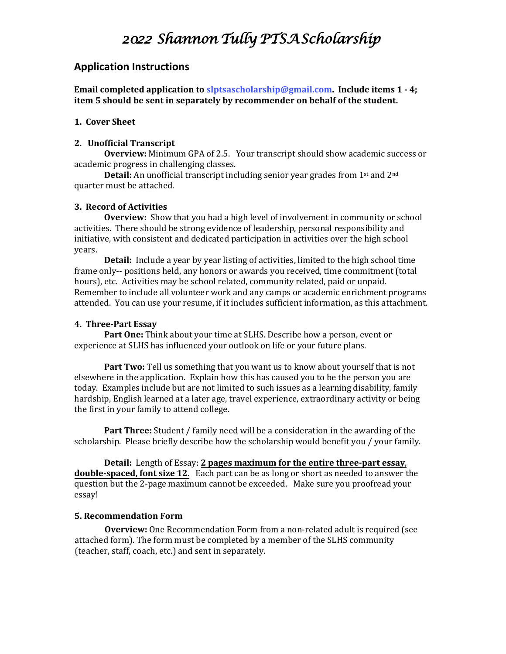## *2022 Shannon Tully PTSA Scholarship*

### **Application Instructions**

**Email completed application to slptsascholarship@gmail.com. Include items 1 - 4; item 5 should be sent in separately by recommender on behalf of the student.**

#### **1. Cover Sheet**

#### **2. Unofficial Transcript**

**Overview:** Minimum GPA of 2.5. Your transcript should show academic success or academic progress in challenging classes.

**Detail:** An unofficial transcript including senior year grades from 1<sup>st</sup> and 2<sup>nd</sup> quarter must be attached.

#### **3. Record of Activities**

**Overview:** Show that you had a high level of involvement in community or school activities. There should be strong evidence of leadership, personal responsibility and initiative, with consistent and dedicated participation in activities over the high school years.

**Detail:** Include a year by year listing of activities, limited to the high school time frame only-- positions held, any honors or awards you received, time commitment (total hours), etc. Activities may be school related, community related, paid or unpaid. Remember to include all volunteer work and any camps or academic enrichment programs attended. You can use your resume, if it includes sufficient information, as this attachment.

#### **4. Three-Part Essay**

**Part One:** Think about your time at SLHS. Describe how a person, event or experience at SLHS has influenced your outlook on life or your future plans.

**Part Two:** Tell us something that you want us to know about yourself that is not elsewhere in the application. Explain how this has caused you to be the person you are today. Examples include but are not limited to such issues as a learning disability, family hardship, English learned at a later age, travel experience, extraordinary activity or being the first in your family to attend college.

**Part Three:** Student / family need will be a consideration in the awarding of the scholarship. Please briefly describe how the scholarship would benefit you / your family.

**Detail:** Length of Essay: **2 pages maximum for the entire three-part essay**, **double-spaced, font size 12**. Each part can be as long or short as needed to answer the question but the 2-page maximum cannot be exceeded. Make sure you proofread your essay!

#### **5. Recommendation Form**

**Overview:** One Recommendation Form from a non-related adult is required (see attached form). The form must be completed by a member of the SLHS community (teacher, staff, coach, etc.) and sent in separately.